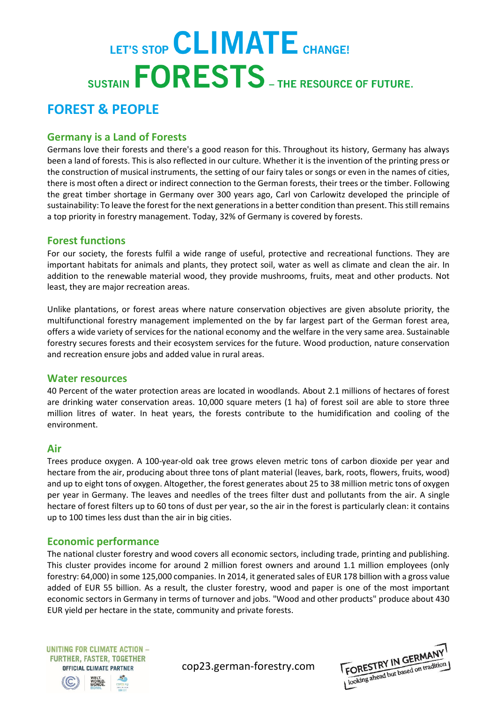# LET'S STOP CLIMATE CHANGE! SUSTAIN **FORESTS** - THE RESOURCE OF FUTURE.

# **FOREST & PEOPLE**

# **Germany is a Land of Forests**

Germans love their forests and there's a good reason for this. Throughout its history, Germany has always been a land of forests. This is also reflected in our culture. Whether it is the invention of the printing press or the construction of musical instruments, the setting of our fairy tales or songs or even in the names of cities, there is most often a direct or indirect connection to the German forests, their trees or the timber. Following the great timber shortage in Germany over 300 years ago, Carl von Carlowitz developed the principle of sustainability: To leave the forest for the next generations in a better condition than present. This still remains a top priority in forestry management. Today, 32% of Germany is covered by forests.

## **Forest functions**

For our society, the forests fulfil a wide range of useful, protective and recreational functions. They are important habitats for animals and plants, they protect soil, water as well as climate and clean the air. In addition to the renewable material wood, they provide mushrooms, fruits, meat and other products. Not least, they are major recreation areas.

Unlike plantations, or forest areas where nature conservation objectives are given absolute priority, the multifunctional forestry management implemented on the by far largest part of the German forest area, offers a wide variety of services for the national economy and the welfare in the very same area. Sustainable forestry secures forests and their ecosystem services for the future. Wood production, nature conservation and recreation ensure jobs and added value in rural areas.

#### **Water resources**

40 Percent of the water protection areas are located in woodlands. About 2.1 millions of hectares of forest are drinking water conservation areas. 10,000 square meters (1 ha) of forest soil are able to store three million litres of water. In heat years, the forests contribute to the humidification and cooling of the environment.

#### **Air**

Trees produce oxygen. A 100-year-old oak tree grows eleven metric tons of carbon dioxide per year and hectare from the air, producing about three tons of plant material (leaves, bark, roots, flowers, fruits, wood) and up to eight tons of oxygen. Altogether, the forest generates about 25 to 38 million metric tons of oxygen per year in Germany. The leaves and needles of the trees filter dust and pollutants from the air. A single hectare of forest filters up to 60 tons of dust per year, so the air in the forest is particularly clean: it contains up to 100 times less dust than the air in big cities.

# **Economic performance**

The national cluster forestry and wood covers all economic sectors, including trade, printing and publishing. This cluster provides income for around 2 million forest owners and around 1.1 million employees (only forestry: 64,000) in some 125,000 companies. In 2014, it generated sales of EUR 178 billion with a gross value added of EUR 55 billion. As a result, the cluster forestry, wood and paper is one of the most important economic sectors in Germany in terms of turnover and jobs. "Wood and other products" produce about 430 EUR yield per hectare in the state, community and private forests.



cop23.german-forestry.com